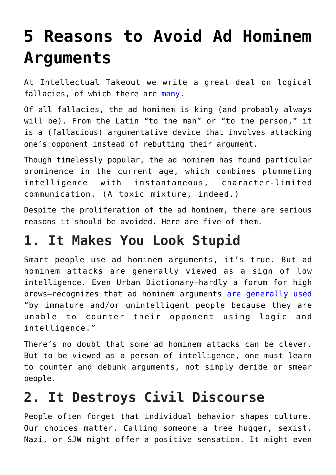# **[5 Reasons to Avoid Ad Hominem](https://intellectualtakeout.org/2018/08/5-reasons-to-avoid-ad-hominem-arguments/) [Arguments](https://intellectualtakeout.org/2018/08/5-reasons-to-avoid-ad-hominem-arguments/)**

At Intellectual Takeout we write a great deal on logical fallacies, of which there are [many.](https://www.webpages.uidaho.edu/eng207-td/Logic%20and%20Analysis/most_common_logical_fallacies.htm)

Of all fallacies, the ad hominem is king (and probably always will be). From the Latin "to the man" or "to the person," it is a (fallacious) argumentative device that involves attacking one's opponent instead of rebutting their argument.

Though timelessly popular, the ad hominem has found particular prominence in the current age, which combines plummeting intelligence with instantaneous, character-limited communication. (A toxic mixture, indeed.)

Despite the proliferation of the ad hominem, there are serious reasons it should be avoided. Here are five of them.

#### **1. It Makes You Look Stupid**

Smart people use ad hominem arguments, it's true. But ad hominem attacks are generally viewed as a sign of low intelligence. Even Urban Dictionary—hardly a forum for high brows—recognizes that ad hominem arguments [are generally used](https://www.urbandictionary.com/define.php?term=Ad%20hominem) "by immature and/or unintelligent people because they are unable to counter their opponent using logic and intelligence."

There's no doubt that some ad hominem attacks can be clever. But to be viewed as a person of intelligence, one must learn to counter and debunk arguments, not simply deride or smear people.

## **2. It Destroys Civil Discourse**

People often forget that individual behavior shapes culture. Our choices matter. Calling someone a tree hugger, sexist, Nazi, or SJW might offer a positive sensation. It might even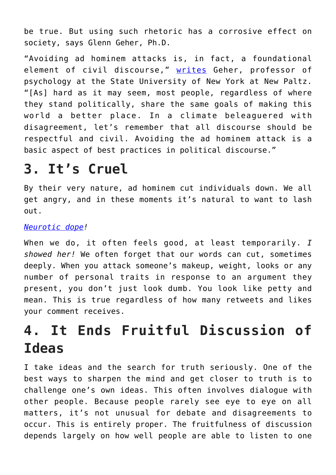be true. But using such rhetoric has a corrosive effect on society, says Glenn Geher, Ph.D.

"Avoiding ad hominem attacks is, in fact, a foundational element of civil discourse," [writes](https://www.psychologytoday.com/us/blog/darwins-subterranean-world/201703/avoid-the-ad-hominem-attack) Geher, professor of psychology at the State University of New York at New Paltz. "[As] hard as it may seem, most people, regardless of where they stand politically, share the same goals of making this world a better place. In a climate beleaguered with disagreement, let's remember that all discourse should be respectful and civil. Avoiding the ad hominem attack is a basic aspect of best practices in political discourse."

#### **3. It's Cruel**

By their very nature, ad hominem cut individuals down. We all get angry, and in these moments it's natural to want to lash out.

#### *[Neurotic dope](https://twitter.com/realDonaldTrump/status/777197604887113728?ref_src=twsrc%5Etfw%7Ctwcamp%5Etweetembed%7Ctwterm%5E777197604887113728&ref_url=https%3A%2F%2Fmedium.com%2Fmedia%2F9400331c0c67e6e6564519aada3671c9%3FpostId%3Db01492932bdc)!*

When we do, it often feels good, at least temporarily. *I showed her!* We often forget that our words can cut, sometimes deeply. When you attack someone's makeup, weight, looks or any number of personal traits in response to an argument they present, you don't just look dumb. You look like petty and mean. This is true regardless of how many retweets and likes your comment receives.

## **4. It Ends Fruitful Discussion of Ideas**

I take ideas and the search for truth seriously. One of the best ways to sharpen the mind and get closer to truth is to challenge one's own ideas. This often involves dialogue with other people. Because people rarely see eye to eye on all matters, it's not unusual for debate and disagreements to occur. This is entirely proper. The fruitfulness of discussion depends largely on how well people are able to listen to one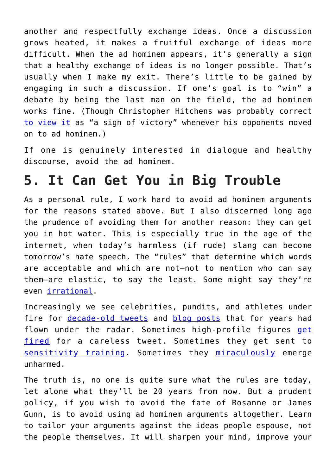another and respectfully exchange ideas. Once a discussion grows heated, it makes a fruitful exchange of ideas more difficult. When the ad hominem appears, it's generally a sign that a healthy exchange of ideas is no longer possible. That's usually when I make my exit. There's little to be gained by engaging in such a discussion. If one's goal is to "win" a debate by being the last man on the field, the ad hominem works fine. (Though Christopher Hitchens was probably correct [to view it](https://www.theguardian.com/books/2006/oct/28/society.politics) as "a sign of victory" whenever his opponents moved on to ad hominem.)

If one is genuinely interested in dialogue and healthy discourse, avoid the ad hominem.

#### **5. It Can Get You in Big Trouble**

As a personal rule, I work hard to avoid ad hominem arguments for the reasons stated above. But I also discerned long ago the prudence of avoiding them for another reason: they can get you in hot water. This is especially true in the age of the internet, when today's harmless (if rude) slang can become tomorrow's hate speech. The "rules" that determine which words are acceptable and which are not—not to mention who can say them—are elastic, to say the least. Some might say they're even [irrational](https://www.nationalreview.com/2018/08/new-work-times-thinks-anti-white-racism-doesnt-count/).

Increasingly we see celebrities, pundits, and athletes under fire for [decade-old tweets](https://deadline.com/2018/07/james-gunn-fired-guardians-of-the-galaxy-disney-offensive-tweets-1202430392/) and [blog posts](https://www.nytimes.com/2018/06/01/business/media/joy-reid-msnbc-apology.html) that for years had flown under the radar. Sometimes high-profile figures [get](https://money.cnn.com/2018/05/29/media/abc-disney-roseanne-barr/index.html) [fired](https://money.cnn.com/2018/05/29/media/abc-disney-roseanne-barr/index.html) for a careless tweet. Sometimes they get sent to [sensitivity training](https://www.washingtonpost.com/news/sports/wp/2018/07/18/brewerss-josh-hader-required-by-mlb-to-complete-sensitivity-training/?utm_term=.ba175bf80c0b). Sometimes they [miraculously](https://variety.com/2018/tv/news/joy-reid-apology-msnbc-hacking-1202791130/) emerge unharmed.

The truth is, no one is quite sure what the rules are today, let alone what they'll be 20 years from now. But a prudent policy, if you wish to avoid the fate of Rosanne or James Gunn, is to avoid using ad hominem arguments altogether. Learn to tailor your arguments against the ideas people espouse, not the people themselves. It will sharpen your mind, improve your